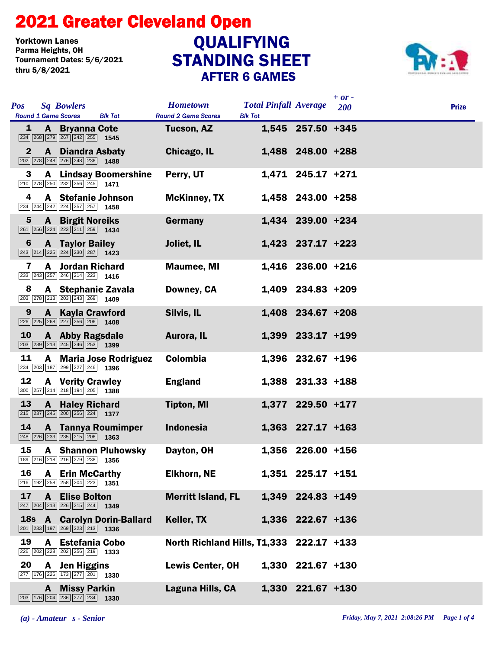## STANDING SHEET 2021 Greater Cleveland Open AFTER 6 GAMES Yorktown Lanes<br>Parma Heights, OH Tournament Dates: 5/6/2021 thru 5/8/2021 **QUALIFYING**



|                 |                            |                                                                                                                                         |                                               |                                                |                     | $+ or -$   |              |
|-----------------|----------------------------|-----------------------------------------------------------------------------------------------------------------------------------------|-----------------------------------------------|------------------------------------------------|---------------------|------------|--------------|
| <b>Pos</b>      | <b>Round 1 Game Scores</b> | <b>Sq Bowlers</b><br><b>Blk Tot</b>                                                                                                     | <b>Hometown</b><br><b>Round 2 Game Scores</b> | <b>Total Pinfall Average</b><br><b>Blk Tot</b> |                     | <b>200</b> | <b>Prize</b> |
| 1               |                            | <b>A</b> Bryanna Cote<br>$\boxed{234}$ $\boxed{268}$ $\boxed{279}$ $\boxed{267}$ $\boxed{242}$ $\boxed{255}$ <b>1545</b>                | Tucson, AZ                                    |                                                | 1,545 257.50 +345   |            |              |
| $\mathbf{2}$    |                            | <b>A</b> Diandra Asbaty<br>$\boxed{202}$ $\boxed{278}$ $\boxed{248}$ $\boxed{276}$ $\boxed{248}$ $\boxed{236}$ <b>1488</b>              | Chicago, IL                                   |                                                | 1,488 248.00 +288   |            |              |
| 3               |                            | <b>A</b> Lindsay Boomershine<br>210 278 250 232 256 245 1471                                                                            | Perry, UT                                     |                                                | 1,471 245.17 +271   |            |              |
| 4               |                            | A Stefanie Johnson<br>$\overline{234}$ $\overline{244}$ $\overline{242}$ $\overline{224}$ $\overline{257}$ $\overline{257}$ <b>1458</b> | <b>McKinney, TX</b>                           |                                                | 1,458 243.00 +258   |            |              |
| $5\phantom{.0}$ |                            | <b>A</b> Birgit Noreiks<br>261 256 224 223 211 259 1434                                                                                 | Germany                                       |                                                | 1,434 239.00 +234   |            |              |
| 6               |                            | <b>A</b> Taylor Bailey<br>$\boxed{243}$ $\boxed{214}$ $\boxed{225}$ $\boxed{224}$ $\boxed{230}$ $\boxed{287}$ 1423                      | Joliet, IL                                    |                                                | $1,423$ 237.17 +223 |            |              |
| 7               |                            | <b>A</b> Jordan Richard<br>$\boxed{233}\boxed{243}\boxed{257}\boxed{246}\boxed{214}\boxed{223}$ 1416                                    | <b>Maumee, MI</b>                             |                                                | 1,416 236.00 +216   |            |              |
| 8               |                            | A Stephanie Zavala<br>203 278 213 203 243 269 1409                                                                                      | Downey, CA                                    |                                                | 1,409 234.83 +209   |            |              |
| 9               |                            | <b>A</b> Kayla Crawford<br>$\boxed{226}\boxed{225}\boxed{268}\boxed{227}\boxed{256}\boxed{206}$ 1408                                    | Silvis, IL                                    |                                                | 1,408 234.67 +208   |            |              |
| 10              |                            | <b>A</b> Abby Ragsdale<br>$\boxed{203}$ $\boxed{239}$ $\boxed{213}$ $\boxed{245}$ $\boxed{246}$ $\boxed{253}$ <b>1399</b>               | Aurora, IL                                    |                                                | 1,399 233.17 +199   |            |              |
| 11              |                            | <b>A</b> Maria Jose Rodriguez<br>234 203 187 299 227 246 1396                                                                           | Colombia                                      |                                                | 1,396 232.67 +196   |            |              |
| 12              |                            | <b>A</b> Verity Crawley<br>$300$ 257 214 218 194 205 1388                                                                               | <b>England</b>                                |                                                | 1,388 231.33 +188   |            |              |
| 13              |                            | <b>A</b> Haley Richard<br>$\boxed{215}$ $\boxed{237}$ $\boxed{245}$ $\boxed{200}$ $\boxed{256}$ $\boxed{224}$ <b>1377</b>               | <b>Tipton, MI</b>                             |                                                | 1,377 229.50 +177   |            |              |
| 14              |                            | <b>A</b> Tannya Roumimper<br>$\boxed{248}$ $\boxed{226}$ $\boxed{233}$ $\boxed{235}$ $\boxed{215}$ $\boxed{206}$ <b>1363</b>            | <b>Indonesia</b>                              |                                                | $1,363$ 227.17 +163 |            |              |
| 15              |                            | <b>A</b> Shannon Pluhowsky<br>189 216 218 216 279 238 1356                                                                              | Dayton, OH                                    |                                                | 1,356 226.00 +156   |            |              |
| 16              |                            | <b>A</b> Erin McCarthy<br>216 192 258 258 204 223 1351                                                                                  | <b>Elkhorn, NE</b>                            |                                                | 1,351 225.17 +151   |            |              |
| 17              |                            | <b>A</b> Elise Bolton<br>$\boxed{247}$ $\boxed{204}$ $\boxed{213}$ $\boxed{226}$ $\boxed{215}$ $\boxed{244}$ <b>1349</b>                | <b>Merritt Island, FL</b>                     |                                                | 1,349 224.83 +149   |            |              |
|                 |                            | 18s A Carolyn Dorin-Ballard<br>$\boxed{201}$ $\boxed{233}$ $\boxed{197}$ $\boxed{269}$ $\boxed{223}$ $\boxed{213}$ <b>1336</b>          | Keller, TX                                    |                                                | 1,336 222.67 +136   |            |              |
| 19              |                            | A Estefania Cobo<br>226 202 228 202 256 219 1333                                                                                        | North Richland Hills, T1,333 222.17 +133      |                                                |                     |            |              |
| 20              |                            | A Jen Higgins<br>$\boxed{277}$ 176 226 173 277 201 1330                                                                                 | <b>Lewis Center, OH</b>                       |                                                | 1,330 221.67 +130   |            |              |
|                 |                            | A Missy Parkin<br>$\boxed{203}$ $\boxed{176}$ $\boxed{204}$ $\boxed{236}$ $\boxed{277}$ $\boxed{234}$ <b>1330</b>                       | Laguna Hills, CA                              |                                                | 1,330 221.67 +130   |            |              |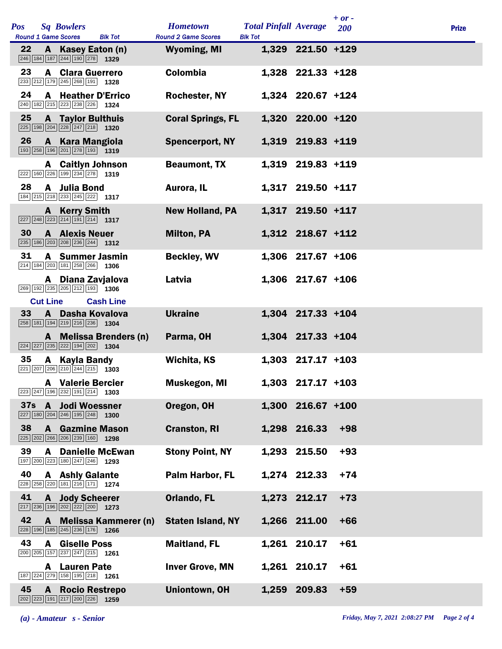| <b>Pos</b> |                 | <b>Sq Bowlers</b><br><b>Round 1 Game Scores</b><br><b>Blk Tot</b>                                                        | <b>Hometown</b><br><b>Round 2 Game Scores</b> | <b>Total Pinfall Average</b><br><b>Blk Tot</b> |                     | $+ or -$<br>200 | <b>Prize</b> |
|------------|-----------------|--------------------------------------------------------------------------------------------------------------------------|-----------------------------------------------|------------------------------------------------|---------------------|-----------------|--------------|
| 22         |                 | A Kasey Eaton (n)<br>$\boxed{246}$ 184 187 244 190 278 1329                                                              | <b>Wyoming, MI</b>                            |                                                | 1,329 221.50 +129   |                 |              |
| 23         |                 | <b>A</b> Clara Guerrero<br>233 212 179 245 268 191 1328                                                                  | <b>Colombia</b>                               |                                                | 1,328 221.33 +128   |                 |              |
| 24         |                 | <b>A</b> Heather D'Errico<br>240 182 215 223 238 226 1324                                                                | <b>Rochester, NY</b>                          |                                                | 1,324 220.67 +124   |                 |              |
| 25         |                 | <b>A</b> Taylor Bulthuis<br>$\boxed{225}$ 198 $\boxed{204}$ $\boxed{228}$ $\boxed{247}$ $\boxed{218}$ 1320               | <b>Coral Springs, FL</b>                      |                                                | 1,320 220.00 +120   |                 |              |
| 26         | $\mathbf{A}$    | <b>Kara Mangiola</b><br>193 258 196 201 278 193 1319                                                                     | <b>Spencerport, NY</b>                        |                                                | 1,319 219.83 +119   |                 |              |
|            |                 | <b>A</b> Caitlyn Johnson<br>222 160 226 199 234 278 1319                                                                 | <b>Beaumont, TX</b>                           |                                                | 1,319 219.83 +119   |                 |              |
| 28         |                 | A Julia Bond<br>184 215 218 233 245 222 1317                                                                             | Aurora, IL                                    |                                                | 1,317 219.50 +117   |                 |              |
|            |                 | <b>A</b> Kerry Smith<br>$\boxed{227}$ $\boxed{248}$ $\boxed{223}$ $\boxed{214}$ $\boxed{191}$ $\boxed{214}$ <b>1317</b>  | <b>New Holland, PA</b>                        |                                                | 1,317 219.50 +117   |                 |              |
| 30         |                 | <b>A</b> Alexis Neuer<br>235 186 203 208 236 244 1312                                                                    | <b>Milton, PA</b>                             |                                                | 1,312 218.67 +112   |                 |              |
| 31         |                 | A Summer Jasmin<br>$\boxed{214}$ 184 $\boxed{203}$ 181 $\boxed{258}$ 266 1306                                            | <b>Beckley, WV</b>                            |                                                | 1,306 217.67 +106   |                 |              |
|            |                 | A Diana Zavjalova<br>269 192 235 205 212 193 1306                                                                        | Latvia                                        |                                                | 1,306 217.67 +106   |                 |              |
|            | <b>Cut Line</b> | <b>Cash Line</b>                                                                                                         |                                               |                                                |                     |                 |              |
| 33         |                 | A Dasha Kovalova<br>258 181 194 219 216 236 1304                                                                         | <b>Ukraine</b>                                |                                                | 1,304 217.33 +104   |                 |              |
|            |                 | A Melissa Brenders (n)<br>$\boxed{224}$ $\boxed{227}$ $\boxed{235}$ $\boxed{222}$ $\boxed{194}$ $\boxed{202}$ 1304       | Parma, OH                                     |                                                | 1,304 217.33 +104   |                 |              |
| 35         |                 | A Kayla Bandy<br>$\boxed{221}$ $\boxed{207}$ $\boxed{206}$ $\boxed{210}$ $\boxed{244}$ $\boxed{215}$ <b>1303</b>         | <b>Wichita, KS</b>                            |                                                | $1,303$ 217.17 +103 |                 |              |
|            |                 | <b>A</b> Valerie Bercier<br>$\boxed{223}\boxed{247}\boxed{196}\boxed{232}\boxed{191}\boxed{214}$ 1303                    | <b>Muskegon, MI</b>                           |                                                | 1,303 217.17 +103   |                 |              |
| <b>37s</b> |                 | A Jodi Woessner<br>$\boxed{227}$ 180 $\boxed{204}$ $\boxed{246}$ 195 $\boxed{248}$ 1300                                  | Oregon, OH                                    |                                                | 1,300 216.67 +100   |                 |              |
| 38         | A               | <b>Gazmine Mason</b><br>225 202 266 206 239 160<br>1298                                                                  | <b>Cranston, RI</b>                           |                                                | 1,298 216.33        | $+98$           |              |
| 39         | A               | <b>Danielle McEwan</b><br>197 200 223 180 247 246 1293                                                                   | <b>Stony Point, NY</b>                        |                                                | 1,293 215.50        | $+93$           |              |
| 40         |                 | <b>A</b> Ashly Galante<br>228 258 220 181 216 171 1274                                                                   | Palm Harbor, FL                               |                                                | 1,274 212.33        | $+74$           |              |
| 41         |                 | <b>A</b> Jody Scheerer<br>217 236 196 202 222 200 1273                                                                   | Orlando, FL                                   |                                                | 1,273 212.17        | $+73$           |              |
| 42         |                 | A Melissa Kammerer (n)<br>228 196 185 245 236 176 1266                                                                   | <b>Staten Island, NY</b>                      |                                                | 1,266 211.00        | $+66$           |              |
| 43         |                 | <b>A</b> Giselle Poss<br>200 205 157 237 247 215 1261                                                                    | <b>Maitland, FL</b>                           |                                                | 1,261 210.17        | $+61$           |              |
|            | A               | <b>Lauren Pate</b><br>187 224 279 158 195 218 1261                                                                       | <b>Inver Grove, MN</b>                        |                                                | 1,261 210.17        | $+61$           |              |
| 45         | $\mathbf{A}$    | <b>Rocio Restrepo</b><br>$\boxed{202}$ $\boxed{223}$ $\boxed{191}$ $\boxed{217}$ $\boxed{200}$ $\boxed{226}$ <b>1259</b> | <b>Uniontown, OH</b>                          |                                                | 1,259 209.83        | $+59$           |              |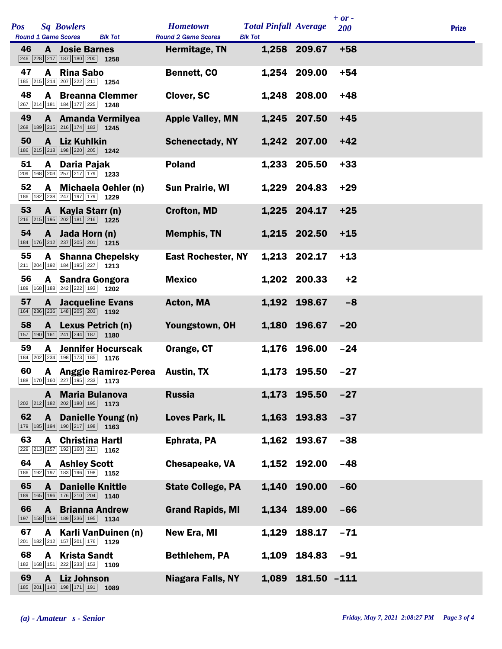| Pos |              | <b>Sq Bowlers</b>                                                                                                            | <b>Hometown</b>                             | <b>Total Pinfall Average</b> |              | $+ or -$<br><b>200</b> | <b>Prize</b> |
|-----|--------------|------------------------------------------------------------------------------------------------------------------------------|---------------------------------------------|------------------------------|--------------|------------------------|--------------|
| 46  |              | <b>Round 1 Game Scores</b><br><b>Blk Tot</b><br><b>A</b> Josie Barnes<br>246 228 217 187 180 200 1258                        | <b>Round 2 Game Scores</b><br>Hermitage, TN | <b>Blk Tot</b>               | 1,258 209.67 | $+58$                  |              |
| 47  | A            | <b>Rina Sabo</b><br>185 215 214 207 222 211 1254                                                                             | Bennett, CO                                 |                              | 1,254 209.00 | $+54$                  |              |
| 48  |              | <b>A</b> Breanna Clemmer<br>267 214 181 184 177 225 1248                                                                     | Clover, SC                                  |                              | 1,248 208.00 | $+48$                  |              |
| 49  |              | A Amanda Vermilyea<br>268 189 215 216 174 183 1245                                                                           | <b>Apple Valley, MN</b>                     |                              | 1,245 207.50 | $+45$                  |              |
| 50  |              | A Liz Kuhlkin<br>186 215 218 198 220 205<br>1242                                                                             | <b>Schenectady, NY</b>                      |                              | 1,242 207.00 | $+42$                  |              |
| 51  |              | A Daria Pajak<br>$\boxed{209}$ 168 $\boxed{203}$ $\boxed{257}$ $\boxed{217}$ $\boxed{179}$ 1233                              | <b>Poland</b>                               | 1,233                        | 205.50       | $+33$                  |              |
| 52  |              | A Michaela Oehler (n)<br>186 182 238 247 197 179 1229                                                                        | <b>Sun Prairie, WI</b>                      |                              | 1,229 204.83 | $+29$                  |              |
| 53  |              | A Kayla Starr (n)<br>$\boxed{216}$ $\boxed{215}$ $\boxed{195}$ $\boxed{202}$ $\boxed{181}$ $\boxed{216}$ $\boxed{1225}$      | <b>Crofton, MD</b>                          |                              | 1,225 204.17 | $+25$                  |              |
| 54  |              | A Jada Horn (n)<br>184 176 212 237 205 201 1215                                                                              | <b>Memphis, TN</b>                          |                              | 1,215 202.50 | $+15$                  |              |
| 55  |              | <b>A</b> Shanna Chepelsky<br>211 204 192 184 195 227 1213                                                                    | <b>East Rochester, NY</b>                   |                              | 1,213 202.17 | $+13$                  |              |
| 56  |              | A Sandra Gongora<br>189 168 188 242 222 193 1202                                                                             | <b>Mexico</b>                               |                              | 1,202 200.33 | $+2$                   |              |
| 57  |              | <b>A</b> Jacqueline Evans<br>$\boxed{164}$ $\boxed{236}$ $\boxed{236}$ $\boxed{148}$ $\boxed{205}$ $\boxed{203}$ <b>1192</b> | Acton, MA                                   |                              | 1,192 198.67 | $-8$                   |              |
| 58  |              | A Lexus Petrich (n)<br>$\boxed{157}$ $\boxed{190}$ $\boxed{161}$ $\boxed{241}$ $\boxed{244}$ $\boxed{187}$ <b>1180</b>       | Youngstown, OH                              |                              | 1,180 196.67 | $-20$                  |              |
| 59  | A            | <b>Jennifer Hocurscak</b><br>184 202 234 198 173 185 1776                                                                    | Orange, CT                                  |                              | 1,176 196.00 | $-24$                  |              |
| 60  |              | A Anggie Ramirez-Perea Austin, TX<br>188 170 160 227 195 233 1173                                                            |                                             |                              | 1,173 195.50 | $-27$                  |              |
|     | A            | <b>Maria Bulanova</b><br>202 212 182 202 180 195 1173                                                                        | <b>Russia</b>                               | 1,173                        | 195.50       | $-27$                  |              |
| 62  | $\mathbf{A}$ | Danielle Young (n)<br>179 185 194 190 217 198<br>1163                                                                        | <b>Loves Park, IL</b>                       |                              | 1,163 193.83 | $-37$                  |              |
| 63  | A            | <b>Christina Hartl</b><br>229 213 157 192 160 211 162                                                                        | Ephrata, PA                                 |                              | 1,162 193.67 | $-38$                  |              |
| 64  |              | <b>A</b> Ashley Scott<br>186 192 197 183 196 198 1152                                                                        | Chesapeake, VA                              |                              | 1,152 192.00 | $-48$                  |              |
| 65  | A            | <b>Danielle Knittle</b><br>189 165 196 176 210 204 1140                                                                      | <b>State College, PA</b>                    |                              | 1,140 190.00 | $-60$                  |              |
| 66  | A            | <b>Brianna Andrew</b><br>197 158 159 189 236 195 1134                                                                        | <b>Grand Rapids, MI</b>                     |                              | 1,134 189.00 | $-66$                  |              |
| 67  | A            | Karli VanDuinen (n)<br>201 182 212 157 201 176 1129                                                                          | New Era, MI                                 | 1,129                        | 188.17       | $-71$                  |              |
| 68  | A            | <b>Krista Sandt</b><br>182 168 151 222 233 153 1109                                                                          | <b>Bethlehem, PA</b>                        | 1,109                        | 184.83       | $-91$                  |              |
| 69  | A            | <b>Liz Johnson</b><br>$\boxed{185}$ $\boxed{201}$ $\boxed{143}$ $\boxed{198}$ $\boxed{171}$ $\boxed{191}$ <b>1089</b>        | <b>Niagara Falls, NY</b>                    | 1,089                        | 181.50 -111  |                        |              |